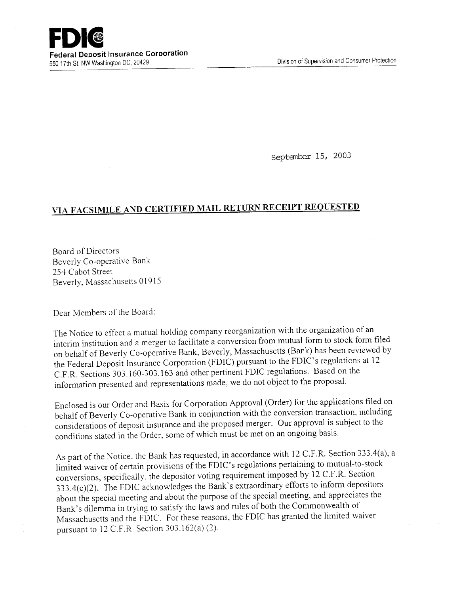Septanber 15, 2003

## **VIA FACSIMILE AND CERTIFIED MAIL RETURN RECEIPT REQUESTED**

Board of Directors Beverly Co-operative Bank 254 Cabot Street Beverly, Massachusetts 01915

Dear Members of the Board:

The Notice to effect a mutual holding company reorganization with the organization of an interim institution and a merger to facilitate a conversion from mutual form to stock form filed on behalf of Beverly Co-operative Bank, Beverly, Massachusetts (Bank) has been reviewed by the Federal Deposit Insurance Corporation (FDIC) pursuant to the FDIC's regulations at 12 C.F.R. Sections 303.160-303.163 and other pertinent FDIC regulations. Based on the information presented and representations made, we do not object to the proposal.

Enclosed is our Order and Basis for Corporation Approval (Order) for the applications filed on behalf of Beverly Co-operative Bank in conjunction with the conversion transaction, including considerations of deposit insurance and the proposed merger. Our approval is subject to the conditions stated in the Order, some of which must be met on an ongoing basis.

As part of the Notice. the Bank has requested, in accordance with 12 C.F.R. Section 333.4(a), a limited waiver of certain provisions of the FDIC's regulations pertaining to mutual-to-stock conversions, specifically. the depositor voting requirement imposed by 12 C.F.R. Section *333.4(c)(2).* The FDIC acknowledges the Bank's extraordinary efforts to inform depositors about the special meeting and about the purpose of the special meeting, and appreciates the Bank's dilemma in trying to satisfy the laws and rules of both the Commonwealth of Massachusetts and the FDIC. For these reasons, the FDIC has granted the limited waiver pursuant to 12 C.F.R. Section 303.162(a) (2).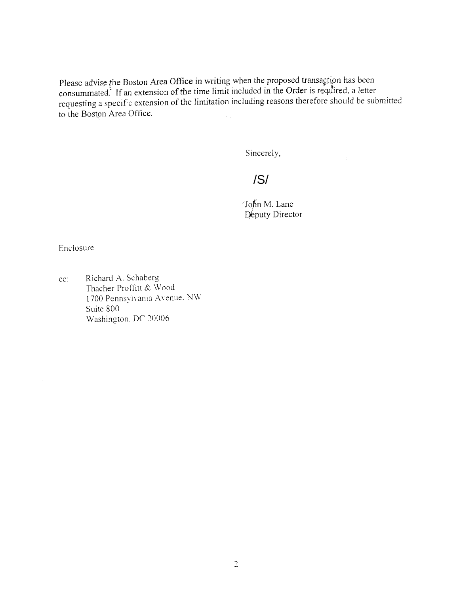Please advise the Boston Area Office in writing when the proposed transaction has been consummated. If an extension of the time limit included in the Order is required, a letter requesting a speciFc extension of the limitation including reasons therefore should be submitted to the Boston Area Office.

Sincerely,

 $\sigma_{\rm c}$ 

/S/

John M. Lane Deputy Director

Enclosure

cc: Richard A. Schaberg Thacher Proffitt & Wood 1700 Pennsylvania Avenue. NW Suite 800 Washington. DC 20006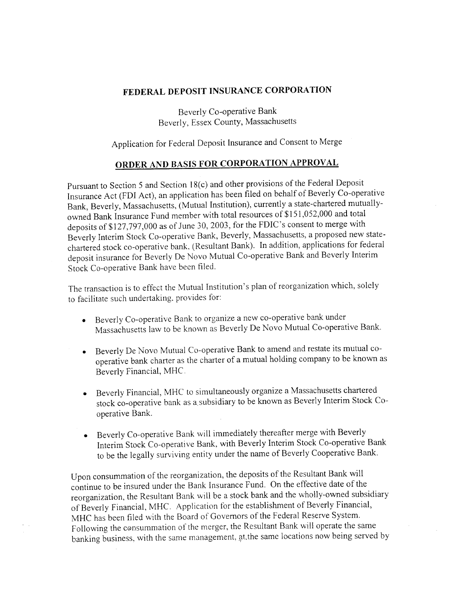## **FEDERAL DEPOSIT INSURANCE CORPORATION**

Beverly Co-operative Bank Beverly, Essex County, Massachusetts

Application for Federal Deposit Insurance and Consent to Merge

## **ORDER AND BASIS FOR CORPORATION APPROVAL**

Pursuant to Section 5 and Section 18(c) and other provisions of the Federal Deposit Insurance Act (FDI Act), an application has been filed on behalf of Beverly Co-operative Bank, Beverly, Massachusetts, (Mutual Institution), currently a state-chartered mutuallyowned Bank Insurance Fund member with total resources of \$151,052,000 and total deposits of \$127,797,000 as of June *30,* 2003, for the FDIC's consent to merge with Beverly Interim Stock Co-operative Bank, Beverly, Massachusetts, a proposed new statechartered stock co-operative bank, (Resultant Bank). In addition, applications for federal deposit insurance for Beverly De Novo Mutual Co-operative Bank and Beverly Interim Stock Co-operative Bank have been filed.

The transaction is to effect the Mutual Institution's plan of reorganization which, solely to facilitate such undertaking. provides for:

- Beverly Co-operative Bank to organize a new co-operative bank under Massachusetts law to be known as Beverly De Novo Mutual Co-operative Bank.
- Beverly De Novo Mutual Co-operative Bank to amend and restate its mutual cooperative bank charter as the charter of a mutual holding company to be known as Beverly Financial, MHC.
- Beverly Financial, MHC to simultaneously organize a Massachusetts chartered stock co-operative bank as a. subsidiary to be known as Beverly Interim Stock Cooperative Bank.
- Beverly Co-operative Bank will immediately thereafter merge with Beverly Interim Stock Co-operative Bank, with Beverly Interim Stock Co-operative Bank to be the legally surviving entity under the name of Beverly Cooperative Bank.

Upon consummation of the reorganization, the deposits of the Resultant Bank will continue to be insured under the Bank Insurance Fund. On the effective date of the reorganization, the Resultant Bank will be a stock bank and the wholly-owned subsidiary of Beverly Financial, MHC. Application for the establishment of Beverly Financial, MHC has been filed with the Board of Governors of the Federal Reserve System. Following the consummation of the merger, the Resultant Bank will operate the same banking business, with the same management, at,the same locations now being served by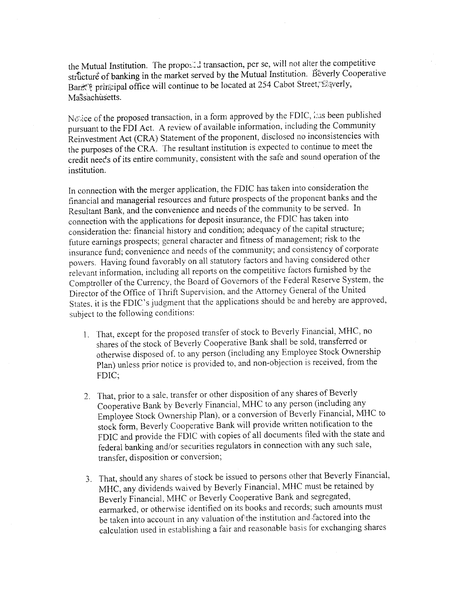the Mutual Institution. The proposed transaction, per se, will not alter the competitive struicture of banking in the market served by the Mutual Institution. Beverly Cooperative Bark<sup>'</sup> principal office will continue to be located at 254 Cabot Street, Eiverly, Massachusetts.

No sice of the proposed transaction, in a form approved by the FDIC, is as been published pursuant to the FDI Act. A review of available information, including the Community Reinvestment Act (CRA) Statement of the proponent, disclosed no inconsistencies with the purposes of the CRA. The resultant institution is expected to continue to meet the credit needs of its entire community, consistent with the safe and sound operation of the institution.

In connection with the merger application, the FDIC has taken into consideration the financial and managerial resources and future prospects of the proponent banks and the Resultant Bank, and the convenience and needs of the community to be served. In connection with the applications for deposit insurance, the FDIC has taken into consideration the: financial history and condition; adequacy of the capital structure; future earnings prospects; general character and fitness of management; risk to the insurance fund; convenience and needs of the community; and consistency of corporate powers. Having found favorably on all statutory factors and having considered other relevant information, including all reports on the competitive factors furnished by the Comptroller of the Currency, the Board of Governors of the Federal Reserve System, the Director of the Office of Thrift Supervision, and the Attorney General of the United States, it is the FDIC's judgment that the applications should be and hereby are approved, subject to the following conditions:

- 1. That, except for the proposed transfer of stock to Beverly Financial, MHC, no shares of the stock of Beverly Cooperative Bank shall be sold, transferred or otherwise disposed of. to any person (including any Employee Stock Ownership Plan) unless prior notice is provided to, and non-objection is received, from the FDIC;
- That, prior to a sale, transfer or other disposition of any shares of Beverly Cooperative Bank by Beverly Financial, MHC to any person (including any Employee Stock Ownership Plan), or a conversion of Beverly Financial, MHC to stock form, Beverly Cooperative Bank will provide written notification to the FDIC and provide the FDIC with copies of all documents filed with the state and federal banking and/or securities regulators in connection with any such sale, transfer, disposition or conversion;
- That, should any shares of stock be issued to persons other that Beverly Financial, MHC, any dividends waived by Beverly Financial, MHC must be retained by Beverly Financial, MHC or Beverly Cooperative Bank and segregated, earmarked, or otherwise identified on its books and records; such amounts must be taken into account in any valuation of the institution and factored into the alculation used in establishing a fair and reasonable basis for exchanging shares